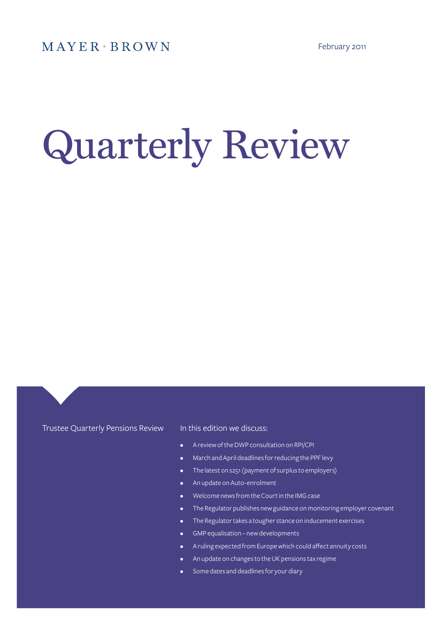# Quarterly Review

## Trustee Quarterly Pensions Review

## In this edition we discuss:

- A review of the DWP consultation on RPI/CPI
- March and April deadlines for reducing the PPF levy
- The latest on s251 (payment of surplus to employers)
- An update on Auto-enrolment
- Welcome news from the Court in the IMG case
- The Regulator publishes new guidance on monitoring employer covenant
- • The Regulator takes a tougher stance on inducement exercises
- GMP equalisation new developments
- A ruling expected from Europe which could affect annuity costs
- An update on changes to the UK pensions tax regime
- Some dates and deadlines for your diary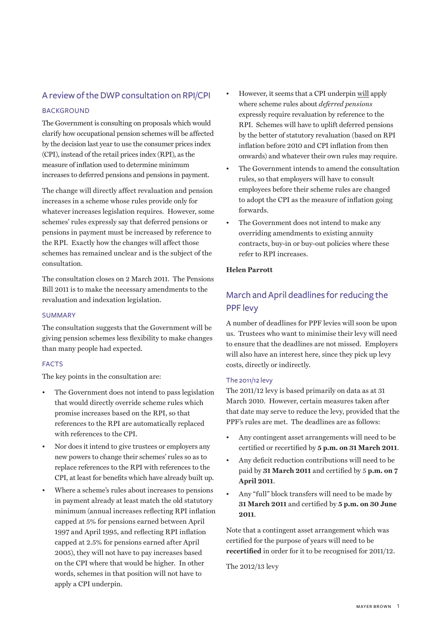## A review of the DWP consultation on RPI/CPI

## **BACKGROUND**

The Government is consulting on proposals which would clarify how occupational pension schemes will be affected by the decision last year to use the consumer prices index (CPI), instead of the retail prices index (RPI), as the measure of inflation used to determine minimum increases to deferred pensions and pensions in payment.

The change will directly affect revaluation and pension increases in a scheme whose rules provide only for whatever increases legislation requires. However, some schemes' rules expressly say that deferred pensions or pensions in payment must be increased by reference to the RPI. Exactly how the changes will affect those schemes has remained unclear and is the subject of the consultation.

The consultation closes on 2 March 2011. The Pensions Bill 2011 is to make the necessary amendments to the revaluation and indexation legislation.

#### **SUMMARY**

The consultation suggests that the Government will be giving pension schemes less flexibility to make changes than many people had expected.

## **FACTS**

The key points in the consultation are:

- The Government does not intend to pass legislation that would directly override scheme rules which promise increases based on the RPI, so that references to the RPI are automatically replaced with references to the CPI.
- Nor does it intend to give trustees or employers any new powers to change their schemes' rules so as to replace references to the RPI with references to the CPI, at least for benefits which have already built up.
- Where a scheme's rules about increases to pensions in payment already at least match the old statutory minimum (annual increases reflecting RPI inflation capped at 5% for pensions earned between April 1997 and April 1995, and reflecting RPI inflation capped at 2.5% for pensions earned after April 2005), they will not have to pay increases based on the CPI where that would be higher. In other words, schemes in that position will not have to apply a CPI underpin.
- However, it seems that a CPI underpin will apply where scheme rules about *deferred pensions*  expressly require revaluation by reference to the RPI. Schemes will have to uplift deferred pensions by the better of statutory revaluation (based on RPI inflation before 2010 and CPI inflation from then onwards) and whatever their own rules may require.
- The Government intends to amend the consultation rules, so that employers will have to consult employees before their scheme rules are changed to adopt the CPI as the measure of inflation going forwards.
- The Government does not intend to make any overriding amendments to existing annuity contracts, buy-in or buy-out policies where these refer to RPI increases.

## **Helen Parrott**

# March and April deadlines for reducing the PPF levy

A number of deadlines for PPF levies will soon be upon us. Trustees who want to minimise their levy will need to ensure that the deadlines are not missed. Employers will also have an interest here, since they pick up levy costs, directly or indirectly.

#### The 2011/12 levy

The 2011/12 levy is based primarily on data as at 31 March 2010. However, certain measures taken after that date may serve to reduce the levy, provided that the PPF's rules are met. The deadlines are as follows:

- Any contingent asset arrangements will need to be certified or recertified by **5 p.m. on 31 March 2011**.
- Any deficit reduction contributions will need to be paid by **31 March 2011** and certified by 5 **p.m. on 7 April 2011**.
- Any "full" block transfers will need to be made by **31 March 2011** and certified by **5 p.m. on 30 June 2011**.

Note that a contingent asset arrangement which was certified for the purpose of years will need to be **recertified** in order for it to be recognised for 2011/12.

The 2012/13 levy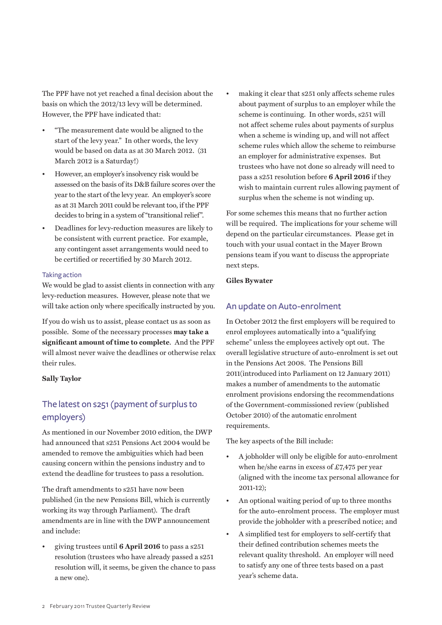The PPF have not yet reached a final decision about the basis on which the 2012/13 levy will be determined. However, the PPF have indicated that:

- "The measurement date would be aligned to the start of the levy year." In other words, the levy would be based on data as at 30 March 2012. (31 March 2012 is a Saturday!)
- However, an employer's insolvency risk would be assessed on the basis of its D&B failure scores over the year to the start of the levy year. An employer's score as at 31 March 2011 could be relevant too, if the PPF decides to bring in a system of "transitional relief".
- Deadlines for levy-reduction measures are likely to be consistent with current practice. For example, any contingent asset arrangements would need to be certified or recertified by 30 March 2012.

#### Taking action

We would be glad to assist clients in connection with any levy-reduction measures. However, please note that we will take action only where specifically instructed by you.

If you do wish us to assist, please contact us as soon as possible. Some of the necessary processes **may take a significant amount of time to complete**. And the PPF will almost never waive the deadlines or otherwise relax their rules.

### **Sally Taylor**

# The latest on s251 (payment of surplus to employers)

As mentioned in our November 2010 edition, the DWP had announced that s251 Pensions Act 2004 would be amended to remove the ambiguities which had been causing concern within the pensions industry and to extend the deadline for trustees to pass a resolution.

The draft amendments to s251 have now been published (in the new Pensions Bill, which is currently working its way through Parliament). The draft amendments are in line with the DWP announcement and include:

• giving trustees until **6 April 2016** to pass a s251 resolution (trustees who have already passed a s251 resolution will, it seems, be given the chance to pass a new one).

making it clear that s251 only affects scheme rules about payment of surplus to an employer while the scheme is continuing. In other words, s251 will not affect scheme rules about payments of surplus when a scheme is winding up, and will not affect scheme rules which allow the scheme to reimburse an employer for administrative expenses. But trustees who have not done so already will need to pass a s251 resolution before **6 April 2016** if they wish to maintain current rules allowing payment of surplus when the scheme is not winding up.

For some schemes this means that no further action will be required. The implications for your scheme will depend on the particular circumstances. Please get in touch with your usual contact in the Mayer Brown pensions team if you want to discuss the appropriate next steps.

#### **Giles Bywater**

## An update on Auto-enrolment

In October 2012 the first employers will be required to enrol employees automatically into a "qualifying scheme" unless the employees actively opt out. The overall legislative structure of auto-enrolment is set out in the Pensions Act 2008. The Pensions Bill 2011(introduced into Parliament on 12 January 2011) makes a number of amendments to the automatic enrolment provisions endorsing the recommendations of the Government-commissioned review (published October 2010) of the automatic enrolment requirements.

The key aspects of the Bill include:

- A jobholder will only be eligible for auto-enrolment when he/she earns in excess of £7,475 per year (aligned with the income tax personal allowance for 2011-12);
- An optional waiting period of up to three months for the auto-enrolment process. The employer must provide the jobholder with a prescribed notice; and
- A simplified test for employers to self-certify that their defined contribution schemes meets the relevant quality threshold. An employer will need to satisfy any one of three tests based on a past year's scheme data.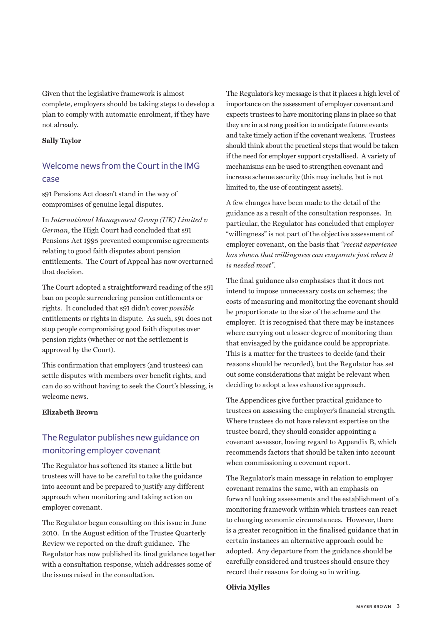Given that the legislative framework is almost complete, employers should be taking steps to develop a plan to comply with automatic enrolment, if they have not already.

#### **Sally Taylor**

# Welcome news from the Court in the IMG case

s91 Pensions Act doesn't stand in the way of compromises of genuine legal disputes.

In *International Management Group (UK) Limited v German*, the High Court had concluded that s91 Pensions Act 1995 prevented compromise agreements relating to good faith disputes about pension entitlements. The Court of Appeal has now overturned that decision.

The Court adopted a straightforward reading of the s91 ban on people surrendering pension entitlements or rights. It concluded that s91 didn't cover *possible* entitlements or rights in dispute. As such, s91 does not stop people compromising good faith disputes over pension rights (whether or not the settlement is approved by the Court).

This confirmation that employers (and trustees) can settle disputes with members over benefit rights, and can do so without having to seek the Court's blessing, is welcome news.

## **Elizabeth Brown**

# The Regulator publishes new guidance on monitoring employer covenant

The Regulator has softened its stance a little but trustees will have to be careful to take the guidance into account and be prepared to justify any different approach when monitoring and taking action on employer covenant.

The Regulator began consulting on this issue in June 2010. In the August edition of the Trustee Quarterly Review we reported on the draft guidance. The Regulator has now published its final guidance together with a consultation response, which addresses some of the issues raised in the consultation.

The Regulator's key message is that it places a high level of importance on the assessment of employer covenant and expects trustees to have monitoring plans in place so that they are in a strong position to anticipate future events and take timely action if the covenant weakens. Trustees should think about the practical steps that would be taken if the need for employer support crystallised. A variety of mechanisms can be used to strengthen covenant and increase scheme security (this may include, but is not limited to, the use of contingent assets).

A few changes have been made to the detail of the guidance as a result of the consultation responses. In particular, the Regulator has concluded that employer "willingness" is not part of the objective assessment of employer covenant, on the basis that *"recent experience has shown that willingness can evaporate just when it is needed most"*.

The final guidance also emphasises that it does not intend to impose unnecessary costs on schemes; the costs of measuring and monitoring the covenant should be proportionate to the size of the scheme and the employer. It is recognised that there may be instances where carrying out a lesser degree of monitoring than that envisaged by the guidance could be appropriate. This is a matter for the trustees to decide (and their reasons should be recorded), but the Regulator has set out some considerations that might be relevant when deciding to adopt a less exhaustive approach.

The Appendices give further practical guidance to trustees on assessing the employer's financial strength. Where trustees do not have relevant expertise on the trustee board, they should consider appointing a covenant assessor, having regard to Appendix B, which recommends factors that should be taken into account when commissioning a covenant report.

The Regulator's main message in relation to employer covenant remains the same, with an emphasis on forward looking assessments and the establishment of a monitoring framework within which trustees can react to changing economic circumstances. However, there is a greater recognition in the finalised guidance that in certain instances an alternative approach could be adopted. Any departure from the guidance should be carefully considered and trustees should ensure they record their reasons for doing so in writing.

#### **Olivia Mylles**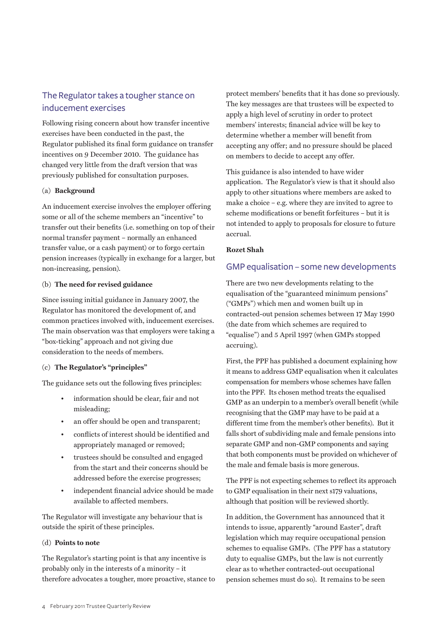# The Regulator takes a tougher stance on inducement exercises

Following rising concern about how transfer incentive exercises have been conducted in the past, the Regulator published its final form guidance on transfer incentives on 9 December 2010. The guidance has changed very little from the draft version that was previously published for consultation purposes.

## (a) **Background**

An inducement exercise involves the employer offering some or all of the scheme members an "incentive" to transfer out their benefits (i.e. something on top of their normal transfer payment – normally an enhanced transfer value, or a cash payment) or to forgo certain pension increases (typically in exchange for a larger, but non-increasing, pension).

## (b) **The need for revised guidance**

Since issuing initial guidance in January 2007, the Regulator has monitored the development of, and common practices involved with, inducement exercises. The main observation was that employers were taking a "box-ticking" approach and not giving due consideration to the needs of members.

## (c) **The Regulator's "principles"**

The guidance sets out the following fives principles:

- information should be clear, fair and not misleading;
- an offer should be open and transparent;
- conflicts of interest should be identified and appropriately managed or removed;
- trustees should be consulted and engaged from the start and their concerns should be addressed before the exercise progresses;
- independent financial advice should be made available to affected members.

The Regulator will investigate any behaviour that is outside the spirit of these principles.

## (d) **Points to note**

The Regulator's starting point is that any incentive is probably only in the interests of a minority – it therefore advocates a tougher, more proactive, stance to protect members' benefits that it has done so previously. The key messages are that trustees will be expected to apply a high level of scrutiny in order to protect members' interests; financial advice will be key to determine whether a member will benefit from accepting any offer; and no pressure should be placed on members to decide to accept any offer.

This guidance is also intended to have wider application. The Regulator's view is that it should also apply to other situations where members are asked to make a choice – e.g. where they are invited to agree to scheme modifications or benefit forfeitures – but it is not intended to apply to proposals for closure to future accrual.

## **Rozet Shah**

## GMP equalisation – some new developments

There are two new developments relating to the equalisation of the "guaranteed minimum pensions" ("GMPs") which men and women built up in contracted-out pension schemes between 17 May 1990 (the date from which schemes are required to "equalise") and 5 April 1997 (when GMPs stopped accruing).

First, the PPF has published a document explaining how it means to address GMP equalisation when it calculates compensation for members whose schemes have fallen into the PPF. Its chosen method treats the equalised GMP as an underpin to a member's overall benefit (while recognising that the GMP may have to be paid at a different time from the member's other benefits). But it falls short of subdividing male and female pensions into separate GMP and non-GMP components and saying that both components must be provided on whichever of the male and female basis is more generous.

The PPF is not expecting schemes to reflect its approach to GMP equalisation in their next s179 valuations, although that position will be reviewed shortly.

In addition, the Government has announced that it intends to issue, apparently "around Easter", draft legislation which may require occupational pension schemes to equalise GMPs. (The PPF has a statutory duty to equalise GMPs, but the law is not currently clear as to whether contracted-out occupational pension schemes must do so). It remains to be seen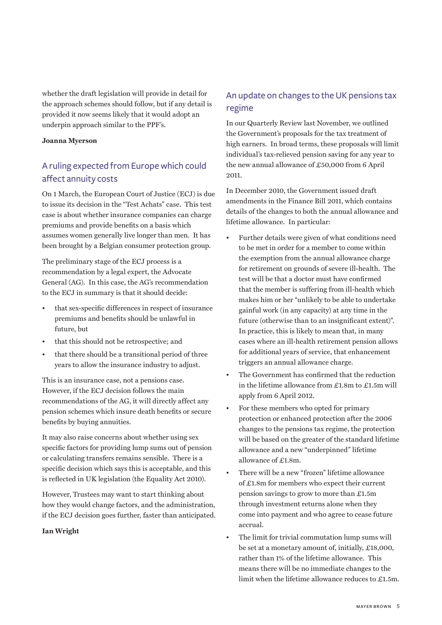whether the draft legislation will provide in detail for the approach schemes should follow, but if any detail is provided it now seems likely that it would adopt an underpin approach similar to the PPF's.

#### **Joanna Myerson**

# A ruling expected from Europe which could affect annuity costs

On 1 March, the European Court of Justice (ECJ) is due to issue its decision in the "Test Achats" case. This test case is about whether insurance companies can charge premiums and provide benefits on a basis which assumes women generally live longer than men. It has been brought by a Belgian consumer protection group.

The preliminary stage of the ECJ process is a recommendation by a legal expert, the Advocate General (AG). In this case, the AG's recommendation to the ECJ in summary is that it should decide:

- that sex-specific differences in respect of insurance premiums and benefits should be unlawful in future, but
- that this should not be retrospective; and
- that there should be a transitional period of three years to allow the insurance industry to adjust.

This is an insurance case, not a pensions case. However, if the ECJ decision follows the main recommendations of the AG, it will directly affect any pension schemes which insure death benefits or secure benefits by buying annuities.

It may also raise concerns about whether using sex specific factors for providing lump sums out of pension or calculating transfers remains sensible. There is a specific decision which says this is acceptable, and this is reflected in UK legislation (the Equality Act 2010).

However, Trustees may want to start thinking about how they would change factors, and the administration, if the ECJ decision goes further, faster than anticipated.

#### **Ian Wright**

# An update on changes to the UK pensions tax regime

In our Quarterly Review last November, we outlined the Government's proposals for the tax treatment of high earners. In broad terms, these proposals will limit individual's tax-relieved pension saving for any year to the new annual allowance of £50,000 from 6 April 2011.

In December 2010, the Government issued draft amendments in the Finance Bill 2011, which contains details of the changes to both the annual allowance and lifetime allowance. In particular:

- Further details were given of what conditions need to be met in order for a member to come within the exemption from the annual allowance charge for retirement on grounds of severe ill-health. The test will be that a doctor must have confirmed that the member is suffering from ill-health which makes him or her "unlikely to be able to undertake gainful work (in any capacity) at any time in the future (otherwise than to an insignificant extent)". In practice, this is likely to mean that, in many cases where an ill-health retirement pension allows for additional years of service, that enhancement triggers an annual allowance charge.
- The Government has confirmed that the reduction in the lifetime allowance from £1.8m to £1.5m will apply from 6 April 2012.
- For these members who opted for primary protection or enhanced protection after the 2006 changes to the pensions tax regime, the protection will be based on the greater of the standard lifetime allowance and a new "underpinned" lifetime allowance of £1.8m.
- There will be a new "frozen" lifetime allowance of £1.8m for members who expect their current pension savings to grow to more than £1.5m through investment returns alone when they come into payment and who agree to cease future accrual.
- The limit for trivial commutation lump sums will be set at a monetary amount of, initially, £18,000, rather than 1% of the lifetime allowance. This means there will be no immediate changes to the limit when the lifetime allowance reduces to £1.5m.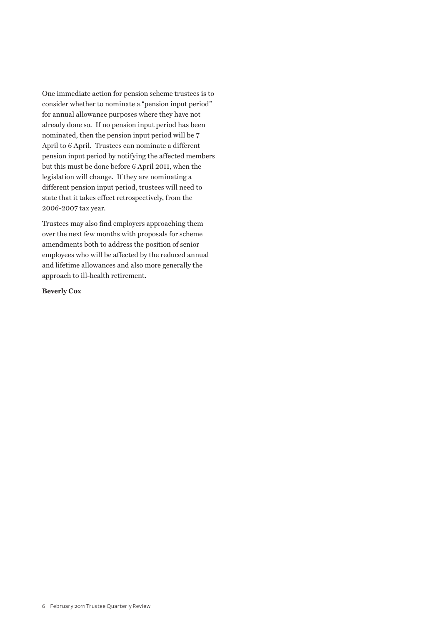One immediate action for pension scheme trustees is to consider whether to nominate a "pension input period" for annual allowance purposes where they have not already done so. If no pension input period has been nominated, then the pension input period will be 7 April to 6 April. Trustees can nominate a different pension input period by notifying the affected members but this must be done before 6 April 2011, when the legislation will change. If they are nominating a different pension input period, trustees will need to state that it takes effect retrospectively, from the 2006-2007 tax year.

Trustees may also find employers approaching them over the next few months with proposals for scheme amendments both to address the position of senior employees who will be affected by the reduced annual and lifetime allowances and also more generally the approach to ill-health retirement.

**Beverly Cox**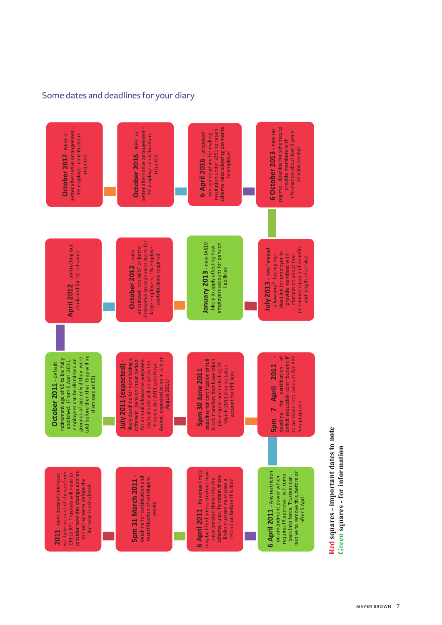## Some dates and deadlines for your diary



Red squares - important dates to note **Red squares - important dates to note**  Green squares - for information **Green squares - for information**